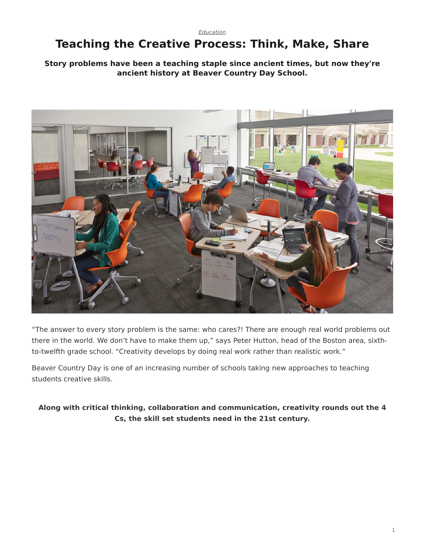#### *[Education](https://www.steelcase.com/research/topics/education/)*

# <span id="page-0-0"></span>**Teaching the Creative Process: Think, Make, Share**

#### **Story problems have been a teaching staple since ancient times, but now they're ancient history at Beaver Country Day School.**



"The answer to every story problem is the same: who cares?! There are enough real world problems out there in the world. We don't have to make them up," says Peter Hutton, head of the Boston area, sixthto-twelfth grade school. "Creativity develops by doing real work rather than realistic work."

Beaver Country Day is one of an increasing number of schools taking new approaches to teaching students creative skills.

### **Along with critical thinking, collaboration and communication, creativity rounds out the 4 Cs, the skill set students need in the 21st century.**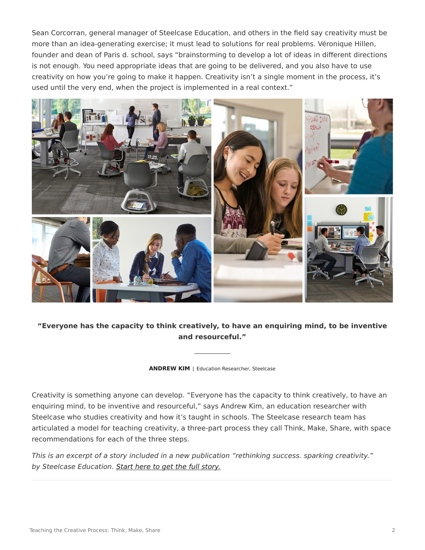Sean Corcorran, general manager of Steelcase Education, and others in the field say creativity must be more than an idea-generating exercise; it must lead to solutions for real problems. Véronique Hillen, founder and dean of Paris d. school, says "brainstorming to develop a lot of ideas in different directions is not enough. You need appropriate ideas that are going to be delivered, and you also have to use creativity on how you're going to make it happen. Creativity isn't a single moment in the process, it's used until the very end, when the project is implemented in a real context."



**"Everyone has the capacity to think creatively, to have an enquiring mind, to be inventive and resourceful."**

**ANDREW KIM** | Education Researcher, Steelcase

Creativity is something anyone can develop. "Everyone has the capacity to think creatively, to have an enquiring mind, to be inventive and resourceful," says Andrew Kim, an education researcher with Steelcase who studies creativity and how it's taught in schools. The Steelcase research team has articulated a model for teaching creativity, a three-part process they call Think, Make, Share, with space recommendations for each of the three steps.

*This is an excerpt of a story included in a new publication "rethinking success. sparking creativity." by Steelcase Education. [Start here to get the full story.](http://info.steelcase.com/steelcase-education-special-edition-download?utm_source=Steelcase.com&utm_medium=BlogPost&utm_campaign=2016-NeoCon-EDU)*